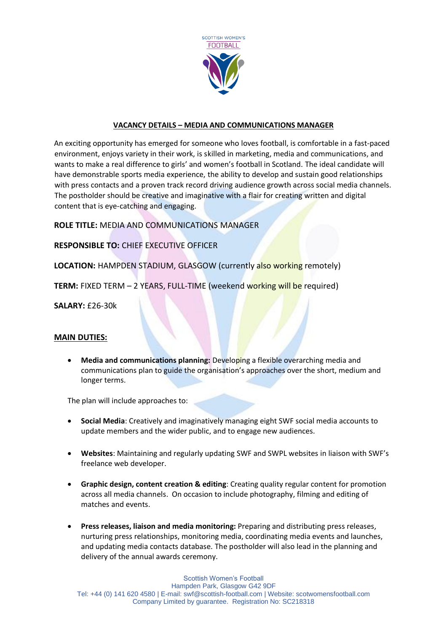

## **VACANCY DETAILS – MEDIA AND COMMUNICATIONS MANAGER**

An exciting opportunity has emerged for someone who loves football, is comfortable in a fast-paced environment, enjoys variety in their work, is skilled in marketing, media and communications, and wants to make a real difference to girls' and women's football in Scotland. The ideal candidate will have demonstrable sports media experience, the ability to develop and sustain good relationships with press contacts and a proven track record driving audience growth across social media channels. The postholder should be creative and imaginative with a flair for creating written and digital content that is eye-catching and engaging.

## **ROLE TITLE:** MEDIA AND COMMUNICATIONS MANAGER

## **RESPONSIBLE TO:** CHIEF EXECUTIVE OFFICER

**LOCATION:** HAMPDEN STADIUM, GLASGOW (currently also working remotely)

**TERM:** FIXED TERM – 2 YEARS, FULL-TIME (weekend working will be required)

**SALARY:** £26-30k

#### **MAIN DUTIES:**

 **Media and communications planning:** Developing a flexible overarching media and communications plan to guide the organisation's approaches over the short, medium and longer terms.

The plan will include approaches to:

- **Social Media**: Creatively and imaginatively managing eight SWF social media accounts to update members and the wider public, and to engage new audiences.
- **Websites**: Maintaining and regularly updating SWF and SWPL websites in liaison with SWF's freelance web developer.
- **Graphic design, content creation & editing**: Creating quality regular content for promotion across all media channels. On occasion to include photography, filming and editing of matches and events.
- **Press releases, liaison and media monitoring:** Preparing and distributing press releases, nurturing press relationships, monitoring media, coordinating media events and launches, and updating media contacts database. The postholder will also lead in the planning and delivery of the annual awards ceremony.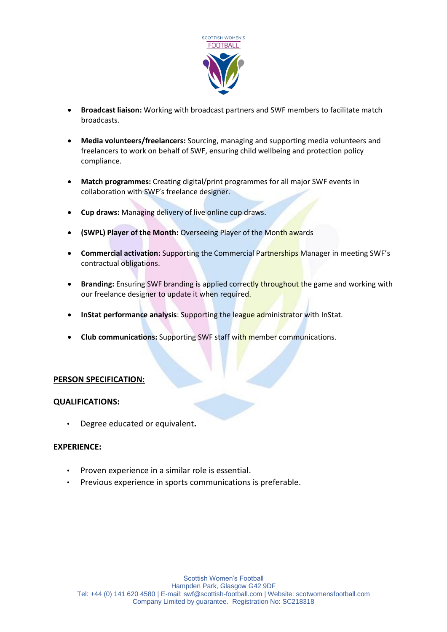

- **Broadcast liaison:** Working with broadcast partners and SWF members to facilitate match broadcasts.
- **Media volunteers/freelancers:** Sourcing, managing and supporting media volunteers and freelancers to work on behalf of SWF, ensuring child wellbeing and protection policy compliance.
- **Match programmes:** Creating digital/print programmes for all major SWF events in collaboration with SWF's freelance designer.
- **Cup draws:** Managing delivery of live online cup draws.
- **(SWPL) Player of the Month:** Overseeing Player of the Month awards
- **Commercial activation:** Supporting the Commercial Partnerships Manager in meeting SWF's contractual obligations.
- **Branding:** Ensuring SWF branding is applied correctly throughout the game and working with our freelance designer to update it when required.
- **InStat performance analysis**: Supporting the league administrator with InStat.
- **Club communications:** Supporting SWF staff with member communications.

## **PERSON SPECIFICATION:**

#### **QUALIFICATIONS:**

• Degree educated or equivalent**.**

#### **EXPERIENCE:**

- Proven experience in a similar role is essential.
- Previous experience in sports communications is preferable.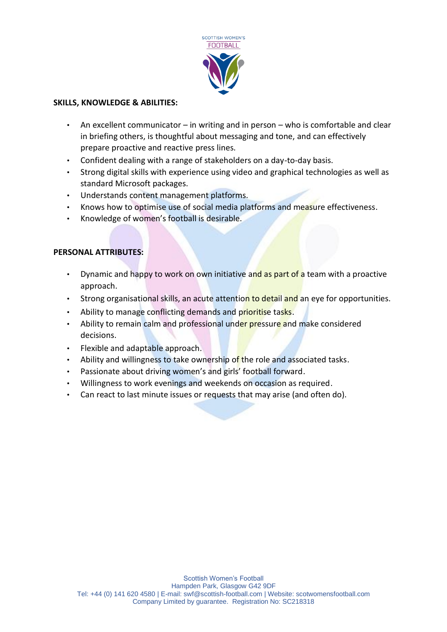

# **SKILLS, KNOWLEDGE & ABILITIES:**

- An excellent communicator in writing and in person who is comfortable and clear in briefing others, is thoughtful about messaging and tone, and can effectively prepare proactive and reactive press lines.
- Confident dealing with a range of stakeholders on a day-to-day basis.
- Strong digital skills with experience using video and graphical technologies as well as standard Microsoft packages.
- Understands content management platforms.
- Knows how to optimise use of social media platforms and measure effectiveness.
- Knowledge of women's football is desirable.

# **PERSONAL ATTRIBUTES:**

- Dynamic and happy to work on own initiative and as part of a team with a proactive approach.
- Strong organisational skills, an acute attention to detail and an eye for opportunities.
- Ability to manage conflicting demands and prioritise tasks.
- Ability to remain calm and professional under pressure and make considered decisions.
- Flexible and adaptable approach.
- Ability and willingness to take ownership of the role and associated tasks.
- Passionate about driving women's and girls' football forward.
- Willingness to work evenings and weekends on occasion as required.
- Can react to last minute issues or requests that may arise (and often do).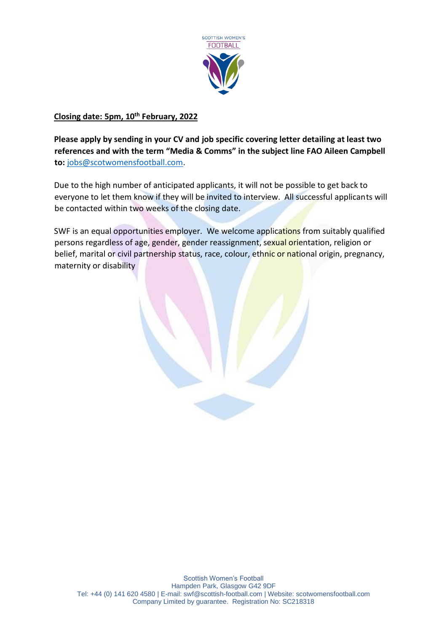

# **Closing date: 5pm, 10th February, 2022**

**Please apply by sending in your CV and job specific covering letter detailing at least two references and with the term "Media & Comms" in the subject line FAO Aileen Campbell to:** [jobs@scotwomensfootball.com.](mailto:jobs@scotwomensfootball.com)

Due to the high number of anticipated applicants, it will not be possible to get back to everyone to let them know if they will be invited to interview. All successful applicants will be contacted within two weeks of the closing date.

SWF is an equal opportunities employer. We welcome applications from suitably qualified persons regardless of age, gender, gender reassignment, sexual orientation, religion or belief, marital or civil partnership status, race, colour, ethnic or national origin, pregnancy, maternity or disability